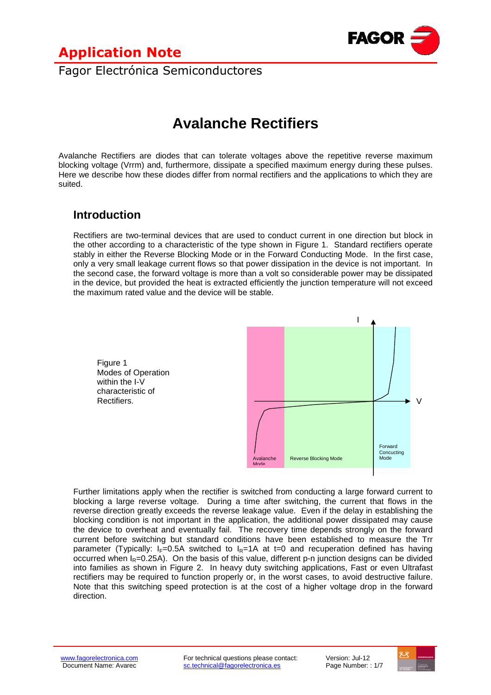

Fagor Electrónica Semiconductores

# **Avalanche Rectifiers**

Avalanche Rectifiers are diodes that can tolerate voltages above the repetitive reverse maximum blocking voltage (Vrrm) and, furthermore, dissipate a specified maximum energy during these pulses. Here we describe how these diodes differ from normal rectifiers and the applications to which they are suited.

### **Introduction**

Rectifiers are two-terminal devices that are used to conduct current in one direction but block in the other according to a characteristic of the type shown in Figure 1. Standard rectifiers operate stably in either the Reverse Blocking Mode or in the Forward Conducting Mode. In the first case, only a very small leakage current flows so that power dissipation in the device is not important. In the second case, the forward voltage is more than a volt so considerable power may be dissipated in the device, but provided the heat is extracted efficiently the junction temperature will not exceed the maximum rated value and the device will be stable.



Further limitations apply when the rectifier is switched from conducting a large forward current to blocking a large reverse voltage. During a time after switching, the current that flows in the reverse direction greatly exceeds the reverse leakage value. Even if the delay in establishing the blocking condition is not important in the application, the additional power dissipated may cause the device to overheat and eventually fail. The recovery time depends strongly on the forward current before switching but standard conditions have been established to measure the Trr parameter (Typically:  $I_F=0.5A$  switched to  $I_F=1A$  at t=0 and recuperation defined has having occurred when  $I_R=0.25$ A). On the basis of this value, different p-n junction designs can be divided into families as shown in Figure 2. In heavy duty switching applications, Fast or even Ultrafast rectifiers may be required to function properly or, in the worst cases, to avoid destructive failure. Note that this switching speed protection is at the cost of a higher voltage drop in the forward direction.

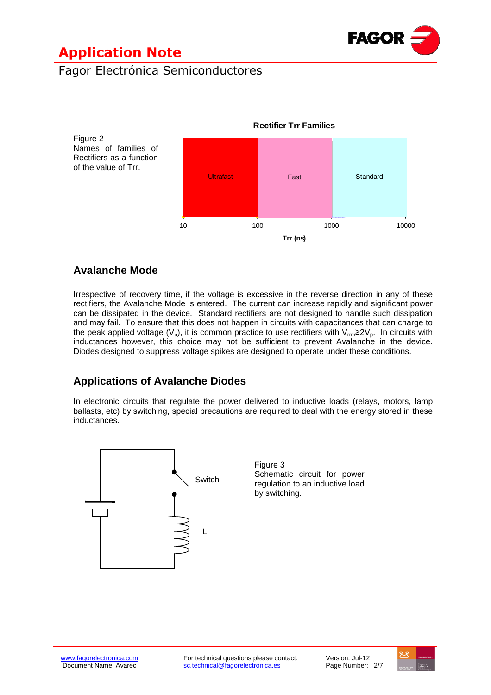

### Fagor Electrónica Semiconductores



#### **Avalanche Mode**

Irrespective of recovery time, if the voltage is excessive in the reverse direction in any of these rectifiers, the Avalanche Mode is entered. The current can increase rapidly and significant power can be dissipated in the device. Standard rectifiers are not designed to handle such dissipation and may fail. To ensure that this does not happen in circuits with capacitances that can charge to the peak applied voltage ( $V_p$ ), it is common practice to use rectifiers with  $V_{rm}$ ≥2 $V_p$ . In circuits with inductances however, this choice may not be sufficient to prevent Avalanche in the device. Diodes designed to suppress voltage spikes are designed to operate under these conditions.

#### **Applications of Avalanche Diodes**

In electronic circuits that regulate the power delivered to inductive loads (relays, motors, lamp ballasts, etc) by switching, special precautions are required to deal with the energy stored in these inductances.



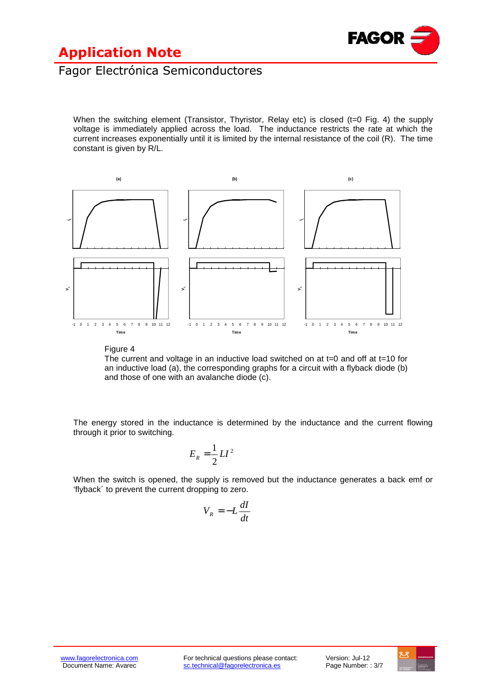

### Fagor Electrónica Semiconductores

When the switching element (Transistor, Thyristor, Relay etc) is closed ( $t=0$  Fig. 4) the supply voltage is immediately applied across the load. The inductance restricts the rate at which the current increases exponentially until it is limited by the internal resistance of the coil (R). The time constant is given by R/L.



Figure 4

The current and voltage in an inductive load switched on at  $t=0$  and off at  $t=10$  for an inductive load (a), the corresponding graphs for a circuit with a flyback diode (b) and those of one with an avalanche diode (c).

The energy stored in the inductance is determined by the inductance and the current flowing through it prior to switching.

$$
E_R = \frac{1}{2}LI^2
$$

When the switch is opened, the supply is removed but the inductance generates a back emf or 'flyback´ to prevent the current dropping to zero.

$$
V_R = -L\frac{dI}{dt}
$$

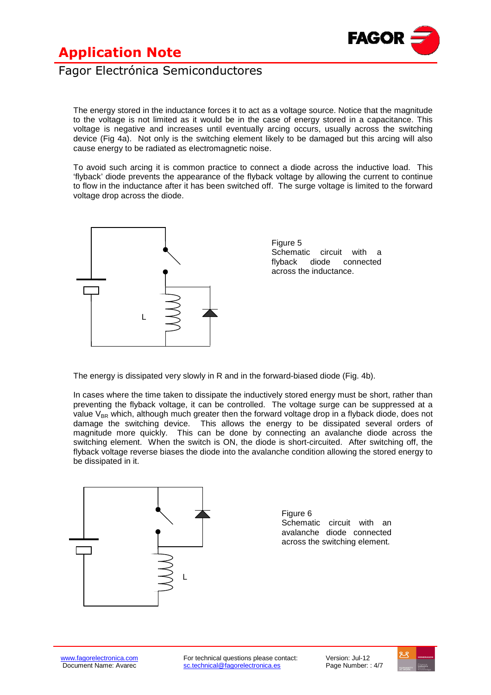

#### Fagor Electrónica Semiconductores

The energy stored in the inductance forces it to act as a voltage source. Notice that the magnitude to the voltage is not limited as it would be in the case of energy stored in a capacitance. This voltage is negative and increases until eventually arcing occurs, usually across the switching device (Fig 4a). Not only is the switching element likely to be damaged but this arcing will also cause energy to be radiated as electromagnetic noise.

To avoid such arcing it is common practice to connect a diode across the inductive load. This 'flyback' diode prevents the appearance of the flyback voltage by allowing the current to continue to flow in the inductance after it has been switched off. The surge voltage is limited to the forward voltage drop across the diode.



The energy is dissipated very slowly in R and in the forward-biased diode (Fig. 4b).

In cases where the time taken to dissipate the inductively stored energy must be short, rather than preventing the flyback voltage, it can be controlled. The voltage surge can be suppressed at a value  $V_{BR}$  which, although much greater then the forward voltage drop in a flyback diode, does not damage the switching device. This allows the energy to be dissipated several orders of magnitude more quickly. This can be done by connecting an avalanche diode across the switching element. When the switch is ON, the diode is short-circuited. After switching off, the flyback voltage reverse biases the diode into the avalanche condition allowing the stored energy to be dissipated in it.



Figure 6 Schematic circuit with an avalanche diode connected across the switching element.

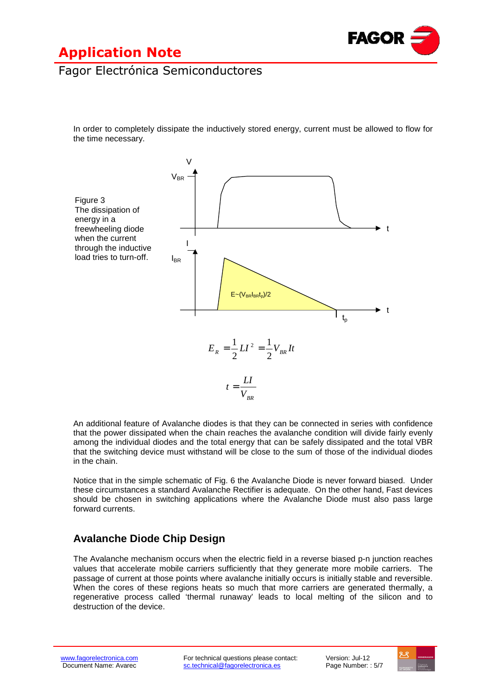

### Fagor Electrónica Semiconductores

In order to completely dissipate the inductively stored energy, current must be allowed to flow for the time necessary.



An additional feature of Avalanche diodes is that they can be connected in series with confidence that the power dissipated when the chain reaches the avalanche condition will divide fairly evenly among the individual diodes and the total energy that can be safely dissipated and the total VBR that the switching device must withstand will be close to the sum of those of the individual diodes in the chain.

Notice that in the simple schematic of Fig. 6 the Avalanche Diode is never forward biased. Under these circumstances a standard Avalanche Rectifier is adequate. On the other hand, Fast devices should be chosen in switching applications where the Avalanche Diode must also pass large forward currents.

#### **Avalanche Diode Chip Design**

The Avalanche mechanism occurs when the electric field in a reverse biased p-n junction reaches values that accelerate mobile carriers sufficiently that they generate more mobile carriers. The passage of current at those points where avalanche initially occurs is initially stable and reversible. When the cores of these regions heats so much that more carriers are generated thermally, a regenerative process called 'thermal runaway' leads to local melting of the silicon and to destruction of the device.

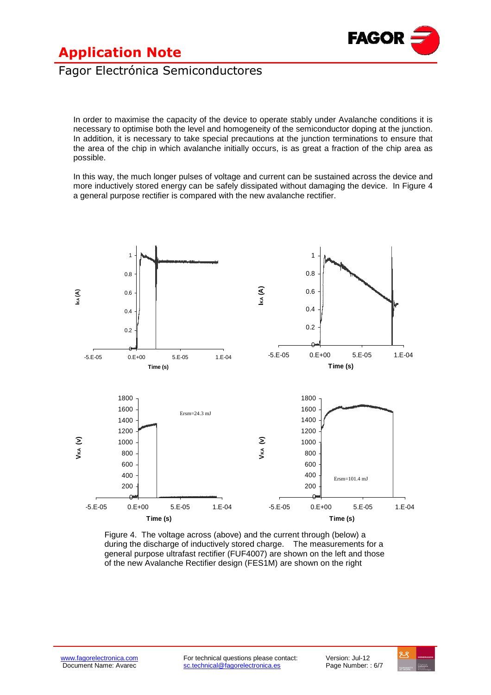

### Fagor Electrónica Semiconductores

In order to maximise the capacity of the device to operate stably under Avalanche conditions it is necessary to optimise both the level and homogeneity of the semiconductor doping at the junction. In addition, it is necessary to take special precautions at the junction terminations to ensure that the area of the chip in which avalanche initially occurs, is as great a fraction of the chip area as possible.

In this way, the much longer pulses of voltage and current can be sustained across the device and more inductively stored energy can be safely dissipated without damaging the device. In Figure 4 a general purpose rectifier is compared with the new avalanche rectifier.



Figure 4. The voltage across (above) and the current through (below) a during the discharge of inductively stored charge. The measurements for a general purpose ultrafast rectifier (FUF4007) are shown on the left and those of the new Avalanche Rectifier design (FES1M) are shown on the right